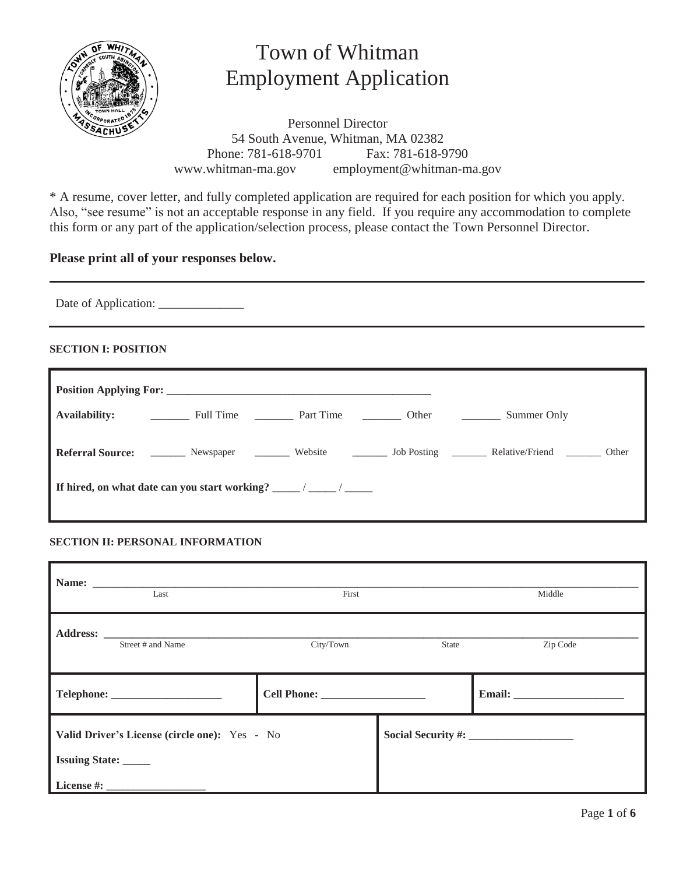

# Town of Whitman Employment Application

Personnel Director 54 South Avenue, Whitman, MA 02382 Phone: 781-618-9701 Fax: 781-618-9790<br>www.whitman-ma.gov employment@whitman-m employment@whitman-ma.gov

\* A resume, cover letter, and fully completed application are required for each position for which you apply. Also, "see resume" is not an acceptable response in any field. If you require any accommodation to complete this form or any part of the application/selection process, please contact the Town Personnel Director.

## **Please print all of your responses below.**

Date of Application: \_\_\_\_\_\_\_\_\_\_\_\_\_\_

## **SECTION I: POSITION**

| Referral Source: _______ Newspaper _______ Website _______ Job Posting _______ Relative/Friend _______ Other |  |  |  |  |  |
|--------------------------------------------------------------------------------------------------------------|--|--|--|--|--|
|                                                                                                              |  |  |  |  |  |

## **SECTION II: PERSONAL INFORMATION**

|                       | Name:<br>Last                                                                                                                                                                                                                                       | First     |       | Middle   |
|-----------------------|-----------------------------------------------------------------------------------------------------------------------------------------------------------------------------------------------------------------------------------------------------|-----------|-------|----------|
|                       | Address: the contract of the contract of the contract of the contract of the contract of the contract of the contract of the contract of the contract of the contract of the contract of the contract of the contract of the c<br>Street # and Name | City/Town | State | Zip Code |
|                       |                                                                                                                                                                                                                                                     |           |       |          |
| <b>Issuing State:</b> | Valid Driver's License (circle one): Yes - No                                                                                                                                                                                                       |           |       |          |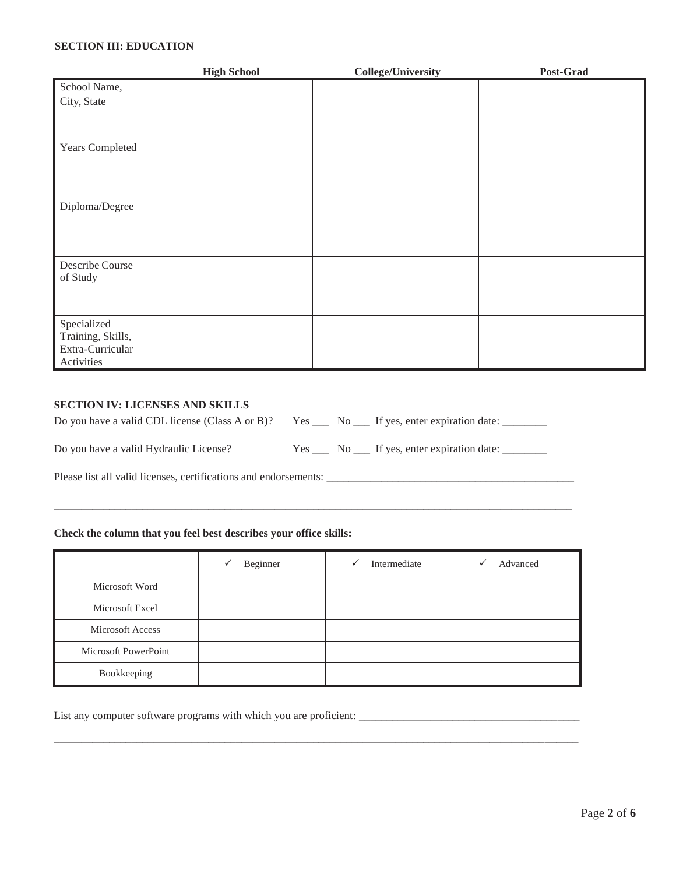#### **SECTION III: EDUCATION**

|                             | <b>High School</b> | <b>College/University</b> | Post-Grad |
|-----------------------------|--------------------|---------------------------|-----------|
| School Name,                |                    |                           |           |
| City, State                 |                    |                           |           |
|                             |                    |                           |           |
|                             |                    |                           |           |
| Years Completed             |                    |                           |           |
|                             |                    |                           |           |
|                             |                    |                           |           |
| Diploma/Degree              |                    |                           |           |
|                             |                    |                           |           |
|                             |                    |                           |           |
|                             |                    |                           |           |
| Describe Course<br>of Study |                    |                           |           |
|                             |                    |                           |           |
|                             |                    |                           |           |
| Specialized                 |                    |                           |           |
| Training, Skills,           |                    |                           |           |
| Extra-Curricular            |                    |                           |           |
| Activities                  |                    |                           |           |

#### **SECTION IV: LICENSES AND SKILLS**

| Do you have a valid CDL license (Class A or B)? Yes $\_\_\_\_$ No $\_\_\_$ If yes, enter expiration date: |  |                                                  |
|-----------------------------------------------------------------------------------------------------------|--|--------------------------------------------------|
| Do you have a valid Hydraulic License?                                                                    |  | Yes _____ No ____ If yes, enter expiration date: |

Please list all valid licenses, certifications and endorsements: \_\_\_\_\_\_\_\_\_\_\_\_\_\_\_\_\_\_\_\_\_\_\_\_\_\_\_\_\_\_\_\_\_\_\_\_\_\_\_\_\_\_\_\_\_

#### **Check the column that you feel best describes your office skills:**

|                         | Beginner<br>✓ | Intermediate<br>✓ | Advanced<br>✓ |
|-------------------------|---------------|-------------------|---------------|
| Microsoft Word          |               |                   |               |
| Microsoft Excel         |               |                   |               |
| <b>Microsoft Access</b> |               |                   |               |
| Microsoft PowerPoint    |               |                   |               |
| Bookkeeping             |               |                   |               |

\_\_\_\_\_\_\_\_\_\_\_\_\_\_\_\_\_\_\_\_\_\_\_\_\_\_\_\_\_\_\_\_\_\_\_\_\_\_\_\_\_\_\_\_\_\_\_\_\_\_\_\_\_\_\_\_\_\_\_\_\_\_\_\_\_\_\_\_\_\_\_\_\_\_\_\_\_\_\_\_\_\_\_\_\_\_\_\_\_\_\_\_\_\_\_

 $\_$  ,  $\_$  ,  $\_$  ,  $\_$  ,  $\_$  ,  $\_$  ,  $\_$  ,  $\_$  ,  $\_$  ,  $\_$  ,  $\_$  ,  $\_$  ,  $\_$  ,  $\_$  ,  $\_$  ,  $\_$  ,  $\_$  ,  $\_$  ,  $\_$  ,  $\_$  ,  $\_$  ,  $\_$  ,  $\_$  ,  $\_$  ,  $\_$  ,  $\_$  ,  $\_$  ,  $\_$  ,  $\_$  ,  $\_$  ,  $\_$  ,  $\_$  ,  $\_$  ,  $\_$  ,  $\_$  ,  $\_$  ,  $\_$  ,

List any computer software programs with which you are proficient: \_\_\_\_\_\_\_\_\_\_\_\_\_\_\_\_\_\_\_\_\_\_\_\_\_\_\_\_\_\_\_\_\_\_\_\_\_\_\_\_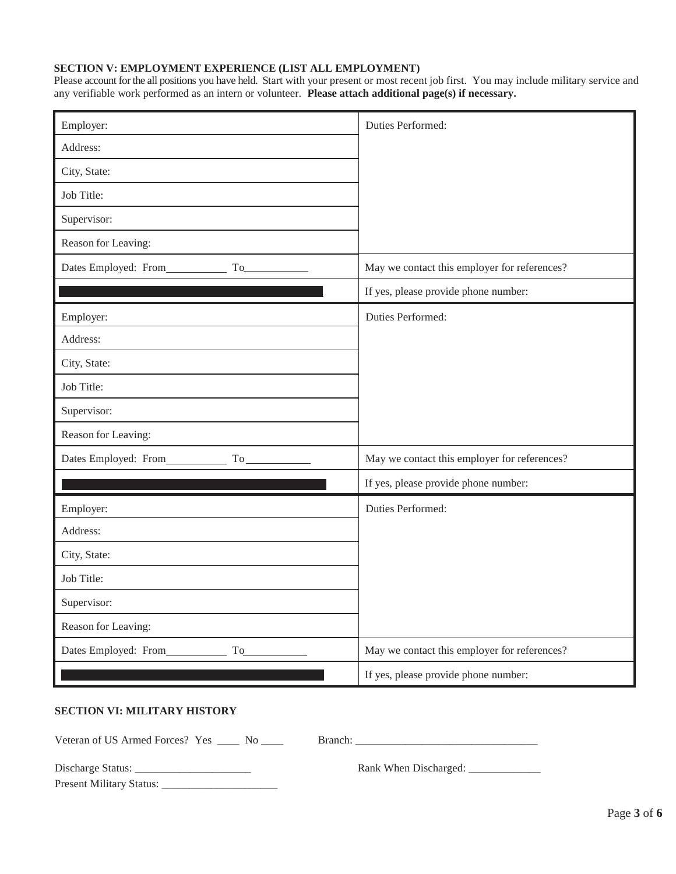#### **SECTION V: EMPLOYMENT EXPERIENCE (LIST ALL EMPLOYMENT)**

Please account for the all positions you have held. Start with your present or most recent job first. You may include military service and any verifiable work performed as an intern or volunteer. **Please attach additional page(s) if necessary.** 

| Employer:                              | Duties Performed:                            |
|----------------------------------------|----------------------------------------------|
| Address:                               |                                              |
| City, State:                           |                                              |
| Job Title:                             |                                              |
| Supervisor:                            |                                              |
| Reason for Leaving:                    |                                              |
| Dates Employed: From<br>To             | May we contact this employer for references? |
|                                        | If yes, please provide phone number:         |
| Employer:                              | Duties Performed:                            |
| Address:                               |                                              |
| City, State:                           |                                              |
| Job Title:                             |                                              |
| Supervisor:                            |                                              |
| Reason for Leaving:                    |                                              |
| Dates Employed: From To                | May we contact this employer for references? |
|                                        | If yes, please provide phone number:         |
| Employer:                              | Duties Performed:                            |
| Address:                               |                                              |
| City, State:                           |                                              |
| Job Title:                             |                                              |
| Supervisor:                            |                                              |
| Reason for Leaving:                    |                                              |
| Dates Employed: From<br>T <sub>o</sub> | May we contact this employer for references? |
|                                        | If yes, please provide phone number:         |

### **SECTION VI: MILITARY HISTORY**

Veteran of US Armed Forces? Yes \_\_\_\_ No \_\_\_\_ Branch: \_\_\_\_\_\_\_\_\_\_\_\_\_\_\_\_\_\_\_\_\_\_\_\_\_\_\_\_

| Discharge Status:               |  |
|---------------------------------|--|
| <b>Present Military Status:</b> |  |

Discharge Status: \_\_\_\_\_\_\_\_\_\_\_\_\_\_\_\_\_\_\_\_\_ Rank When Discharged: \_\_\_\_\_\_\_\_\_\_\_\_\_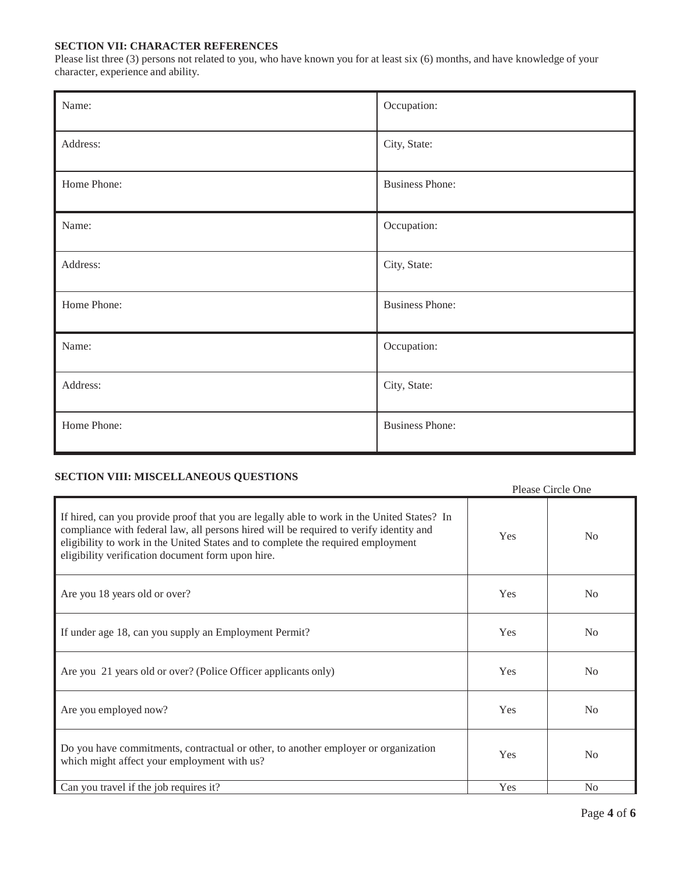#### **SECTION VII: CHARACTER REFERENCES**

Please list three (3) persons not related to you, who have known you for at least six (6) months, and have knowledge of your character, experience and ability.

| Name:       | Occupation:            |
|-------------|------------------------|
| Address:    | City, State:           |
| Home Phone: | <b>Business Phone:</b> |
| Name:       | Occupation:            |
| Address:    | City, State:           |
| Home Phone: | <b>Business Phone:</b> |
| Name:       | Occupation:            |
| Address:    | City, State:           |
| Home Phone: | <b>Business Phone:</b> |

## **SECTION VIII: MISCELLANEOUS QUESTIONS**

|                                                                                                                                                                                                                                                                                                                               |     | Please Circle One |
|-------------------------------------------------------------------------------------------------------------------------------------------------------------------------------------------------------------------------------------------------------------------------------------------------------------------------------|-----|-------------------|
| If hired, can you provide proof that you are legally able to work in the United States? In<br>compliance with federal law, all persons hired will be required to verify identity and<br>eligibility to work in the United States and to complete the required employment<br>eligibility verification document form upon hire. | Yes | N <sub>0</sub>    |
| Are you 18 years old or over?                                                                                                                                                                                                                                                                                                 | Yes | N <sub>o</sub>    |
| If under age 18, can you supply an Employment Permit?                                                                                                                                                                                                                                                                         | Yes | N <sub>o</sub>    |
| Are you 21 years old or over? (Police Officer applicants only)                                                                                                                                                                                                                                                                | Yes | N <sub>o</sub>    |
| Are you employed now?                                                                                                                                                                                                                                                                                                         | Yes | N <sub>o</sub>    |
| Do you have commitments, contractual or other, to another employer or organization<br>which might affect your employment with us?                                                                                                                                                                                             | Yes | N <sub>0</sub>    |
| Can you travel if the job requires it?                                                                                                                                                                                                                                                                                        | Yes | No                |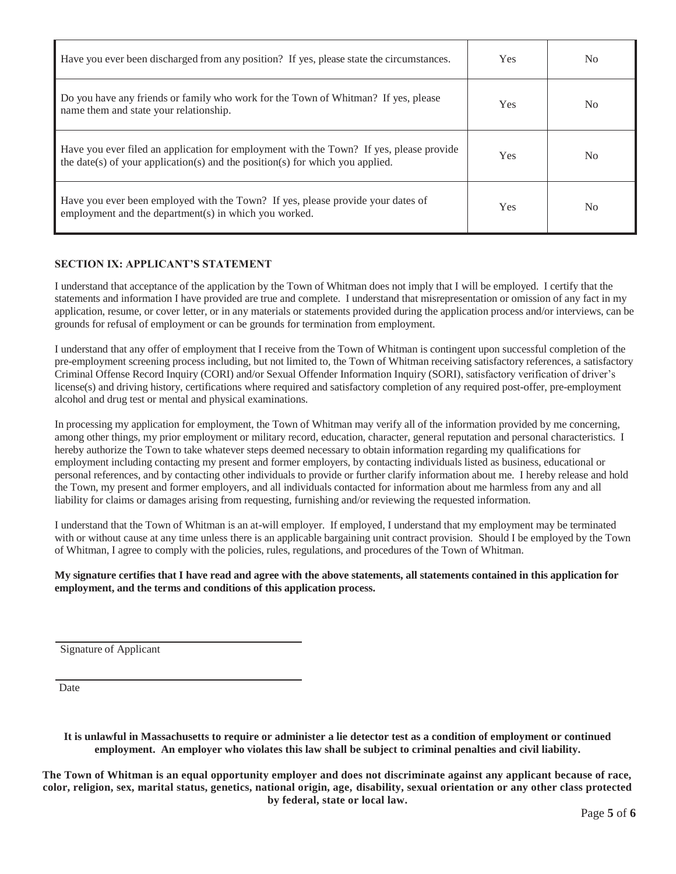| Have you ever been discharged from any position? If yes, please state the circumstances.                                                                                 | Yes.       | N <sub>0</sub> |
|--------------------------------------------------------------------------------------------------------------------------------------------------------------------------|------------|----------------|
| Do you have any friends or family who work for the Town of Whitman? If yes, please<br>name them and state your relationship.                                             | <b>Yes</b> | N <sub>0</sub> |
| Have you ever filed an application for employment with the Town? If yes, please provide<br>the date(s) of your application(s) and the position(s) for which you applied. | <b>Yes</b> | N <sub>0</sub> |
| Have you ever been employed with the Town? If yes, please provide your dates of<br>employment and the department(s) in which you worked.                                 | <b>Yes</b> | N <sub>0</sub> |

## **SECTION IX: APPLICANT'S STATEMENT**

I understand that acceptance of the application by the Town of Whitman does not imply that I will be employed. I certify that the statements and information I have provided are true and complete. I understand that misrepresentation or omission of any fact in my application, resume, or cover letter, or in any materials or statements provided during the application process and/or interviews, can be grounds for refusal of employment or can be grounds for termination from employment.

I understand that any offer of employment that I receive from the Town of Whitman is contingent upon successful completion of the pre-employment screening process including, but not limited to, the Town of Whitman receiving satisfactory references, a satisfactory Criminal Offense Record Inquiry (CORI) and/or Sexual Offender Information Inquiry (SORI), satisfactory verification of driver's license(s) and driving history, certifications where required and satisfactory completion of any required post-offer, pre-employment alcohol and drug test or mental and physical examinations.

In processing my application for employment, the Town of Whitman may verify all of the information provided by me concerning, among other things, my prior employment or military record, education, character, general reputation and personal characteristics. I hereby authorize the Town to take whatever steps deemed necessary to obtain information regarding my qualifications for employment including contacting my present and former employers, by contacting individuals listed as business, educational or personal references, and by contacting other individuals to provide or further clarify information about me. I hereby release and hold the Town, my present and former employers, and all individuals contacted for information about me harmless from any and all liability for claims or damages arising from requesting, furnishing and/or reviewing the requested information.

I understand that the Town of Whitman is an at-will employer. If employed, I understand that my employment may be terminated with or without cause at any time unless there is an applicable bargaining unit contract provision. Should I be employed by the Town of Whitman, I agree to comply with the policies, rules, regulations, and procedures of the Town of Whitman.

**My signature certifies that I have read and agree with the above statements, all statements contained in this application for employment, and the terms and conditions of this application process.** 

Signature of Applicant

Date

**It is unlawful in Massachusetts to require or administer a lie detector test as a condition of employment or continued employment. An employer who violates this law shall be subject to criminal penalties and civil liability.** 

**The Town of Whitman is an equal opportunity employer and does not discriminate against any applicant because of race, color, religion, sex, marital status, genetics, national origin, age, disability, sexual orientation or any other class protected by federal, state or local law.**